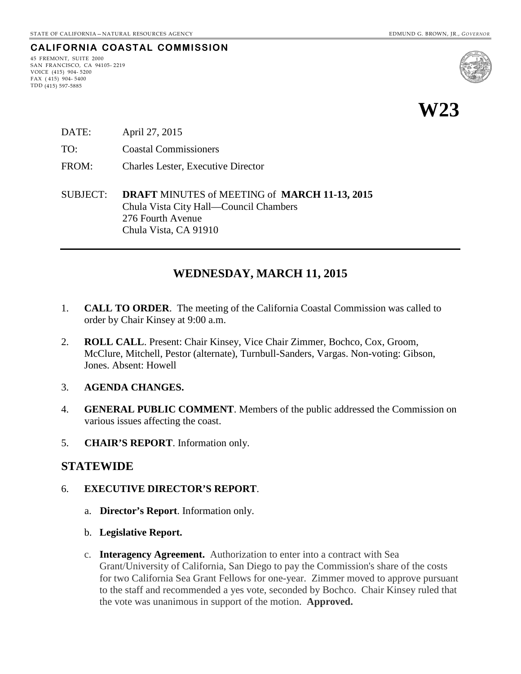## **CALIFORNIA COASTAL COMMISSION**

45 FREMONT, SUITE 2000 SAN FRANCISCO, CA 94105- 2219 VOICE (415) 904- 5200  $FAX (415) 904 - 5400$ TDD (415) 597-5885



- DATE: April 27, 2015
- TO: Coastal Commissioners
- FROM: Charles Lester, Executive Director
- SUBJECT: **DRAFT** MINUTES of MEETING of **MARCH 11-13, 2015** Chula Vista City Hall—Council Chambers 276 Fourth Avenue Chula Vista, CA 91910

## **WEDNESDAY, MARCH 11, 2015**

- 1. **CALL TO ORDER**. The meeting of the California Coastal Commission was called to order by Chair Kinsey at 9:00 a.m.
- 2. **ROLL CALL**. Present: Chair Kinsey, Vice Chair Zimmer, Bochco, Cox, Groom, McClure, Mitchell, Pestor (alternate), Turnbull-Sanders, Vargas. Non-voting: Gibson, Jones. Absent: Howell
- 3. **AGENDA CHANGES.**
- 4. **GENERAL PUBLIC COMMENT**. Members of the public addressed the Commission on various issues affecting the coast.
- 5. **CHAIR'S REPORT**. Information only.

## **STATEWIDE**

#### 6. **EXECUTIVE DIRECTOR'S REPORT**.

- a. **Director's Report**. Information only.
- b. **Legislative Report.**
- c. **[Interagency Agreement.](http://documents.coastal.ca.gov/reports/2015/3/w6c-3-2015.pdf)** Authorization to enter into a contract with Sea Grant/University of California, San Diego to pay the Commission's share of the costs for two California Sea Grant Fellows for one-year. Zimmer moved to approve pursuant to the staff and recommended a yes vote, seconded by Bochco. Chair Kinsey ruled that the vote was unanimous in support of the motion. **Approved.**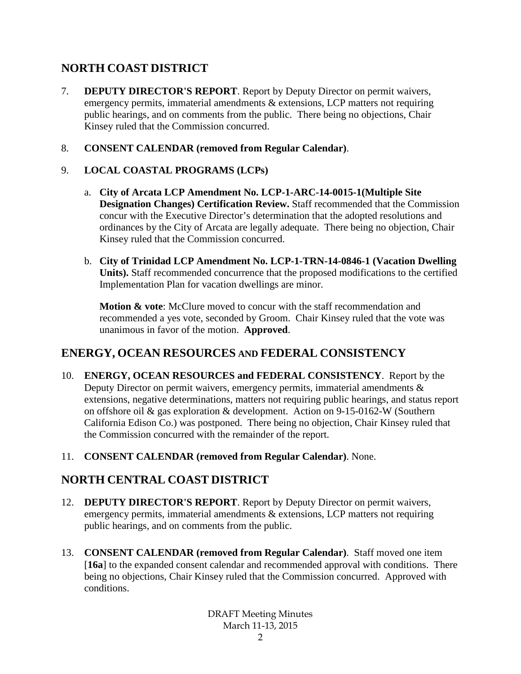## **NORTH COAST DISTRICT**

- 7. **DEPUTY DIRECTOR'S REPORT**. Report by Deputy Director on permit waivers, emergency permits, immaterial amendments & extensions, LCP matters not requiring public hearings, and on comments from the public. There being no objections, Chair Kinsey ruled that the Commission concurred.
- 8. **CONSENT CALENDAR (removed from Regular Calendar)**.

### 9. **LOCAL COASTAL PROGRAMS (LCPs)**

- a. **City of Arcata LCP Amendment No. LCP-1-ARC-14-0015-1(Multiple Site Designation Changes) Certification Review.** Staff recommended that the Commission concur with the Executive Director's determination that the adopted resolutions and ordinances by the City of Arcata are legally adequate. There being no objection, Chair Kinsey ruled that the Commission concurred.
- b. **City of Trinidad LCP Amendment No. LCP-1-TRN-14-0846-1 (Vacation Dwelling Units).** Staff recommended concurrence that the proposed modifications to the certified Implementation Plan for vacation dwellings are minor.

**Motion & vote**: McClure moved to concur with the staff recommendation and recommended a yes vote, seconded by Groom. Chair Kinsey ruled that the vote was unanimous in favor of the motion. **Approved**.

## **ENERGY, OCEAN RESOURCES AND FEDERAL CONSISTENCY**

- 10. **ENERGY, OCEAN RESOURCES and FEDERAL CONSISTENCY**. Report by the Deputy Director on permit waivers, emergency permits, immaterial amendments  $\&$ extensions, negative determinations, matters not requiring public hearings, and status report on offshore oil & gas exploration & development. Action on 9-15-0162-W (Southern California Edison Co.) was postponed. There being no objection, Chair Kinsey ruled that the Commission concurred with the remainder of the report.
- 11. **CONSENT CALENDAR (removed from Regular Calendar)**. None.

## **NORTH CENTRAL COAST DISTRICT**

- 12. **DEPUTY DIRECTOR'S REPORT**. Report by Deputy Director on permit waivers, emergency permits, immaterial amendments & extensions, LCP matters not requiring public hearings, and on comments from the public.
- 13. **CONSENT CALENDAR (removed from Regular Calendar)**. Staff moved one item [16a] to the expanded consent calendar and recommended approval with conditions. There being no objections, Chair Kinsey ruled that the Commission concurred. Approved with conditions.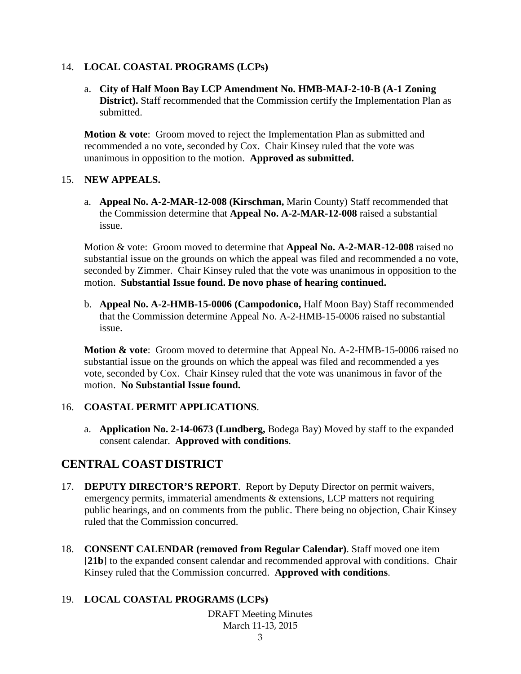#### 14. **LOCAL COASTAL PROGRAMS (LCPs)**

a. **City of Half Moon Bay LCP Amendment No. HMB-MAJ-2-10-B (A-1 Zoning District).** Staff recommended that the Commission certify the Implementation Plan as submitted.

**Motion & vote**: Groom moved to reject the Implementation Plan as submitted and recommended a no vote, seconded by Cox. Chair Kinsey ruled that the vote was unanimous in opposition to the motion. **Approved as submitted.**

#### 15. **NEW APPEALS.**

a. **Appeal No. A-2-MAR-12-008 (Kirschman,** Marin County) Staff recommended that the Commission determine that **Appeal No. A-2-MAR-12-008** raised a substantial issue.

Motion & vote: Groom moved to determine that **Appeal No. A-2-MAR-12-008** raised no substantial issue on the grounds on which the appeal was filed and recommended a no vote, seconded by Zimmer. Chair Kinsey ruled that the vote was unanimous in opposition to the motion. **Substantial Issue found. De novo phase of hearing continued.**

b. **Appeal No. A-2-HMB-15-0006 (Campodonico,** Half Moon Bay) Staff recommended that the Commission determine Appeal No. A-2-HMB-15-0006 raised no substantial issue.

**Motion & vote**: Groom moved to determine that Appeal No. A-2-HMB-15-0006 raised no substantial issue on the grounds on which the appeal was filed and recommended a yes vote, seconded by Cox. Chair Kinsey ruled that the vote was unanimous in favor of the motion. **No Substantial Issue found.**

#### 16. **COASTAL PERMIT APPLICATIONS**.

a. **Application No. 2-14-0673 (Lundberg,** Bodega Bay) Moved by staff to the expanded consent calendar. **Approved with conditions**.

## **CENTRAL COAST DISTRICT**

- 17. **DEPUTY DIRECTOR'S REPORT**. Report by Deputy Director on permit waivers, emergency permits, immaterial amendments & extensions, LCP matters not requiring public hearings, and on comments from the public. There being no objection, Chair Kinsey ruled that the Commission concurred.
- 18. **CONSENT CALENDAR (removed from Regular Calendar)**. Staff moved one item [21b] to the expanded consent calendar and recommended approval with conditions. Chair Kinsey ruled that the Commission concurred. **Approved with conditions**.

#### 19. **LOCAL COASTAL PROGRAMS (LCPs)**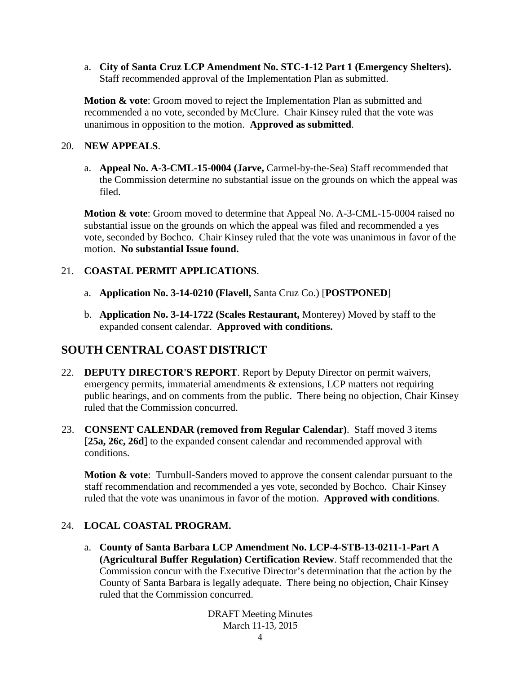a. **City of Santa Cruz LCP Amendment No. STC-1-12 Part 1 (Emergency Shelters).** Staff recommended approval of the Implementation Plan as submitted.

**Motion & vote**: Groom moved to reject the Implementation Plan as submitted and recommended a no vote, seconded by McClure. Chair Kinsey ruled that the vote was unanimous in opposition to the motion. **Approved as submitted**.

#### 20. **NEW APPEALS**.

a. **Appeal No. A-3-CML-15-0004 (Jarve,** Carmel-by-the-Sea) Staff recommended that the Commission determine no substantial issue on the grounds on which the appeal was filed.

**Motion & vote**: Groom moved to determine that Appeal No. A-3-CML-15-0004 raised no substantial issue on the grounds on which the appeal was filed and recommended a yes vote, seconded by Bochco. Chair Kinsey ruled that the vote was unanimous in favor of the motion. **No substantial Issue found.**

## 21. **COASTAL PERMIT APPLICATIONS**.

- a. **Application No. 3-14-0210 (Flavell,** Santa Cruz Co.) [**POSTPONED**]
- b. **Application No. 3-14-1722 (Scales Restaurant,** Monterey) Moved by staff to the expanded consent calendar. **Approved with conditions.**

## **SOUTH CENTRAL COAST DISTRICT**

- 22. **DEPUTY DIRECTOR'S REPORT**. Report by Deputy Director on permit waivers, emergency permits, immaterial amendments & extensions, LCP matters not requiring public hearings, and on comments from the public. There being no objection, Chair Kinsey ruled that the Commission concurred.
- 23. **CONSENT CALENDAR (removed from Regular Calendar)**. Staff moved 3 items [25a, 26c, 26d] to the expanded consent calendar and recommended approval with conditions.

**Motion & vote**: Turnbull-Sanders moved to approve the consent calendar pursuant to the staff recommendation and recommended a yes vote, seconded by Bochco. Chair Kinsey ruled that the vote was unanimous in favor of the motion. **Approved with conditions**.

## 24. **LOCAL COASTAL PROGRAM.**

a. **County of Santa Barbara LCP Amendment No. LCP-4-STB-13-0211-1-Part A (Agricultural Buffer Regulation) Certification Review**. Staff recommended that the Commission concur with the Executive Director's determination that the action by the County of Santa Barbara is legally adequate. There being no objection, Chair Kinsey ruled that the Commission concurred.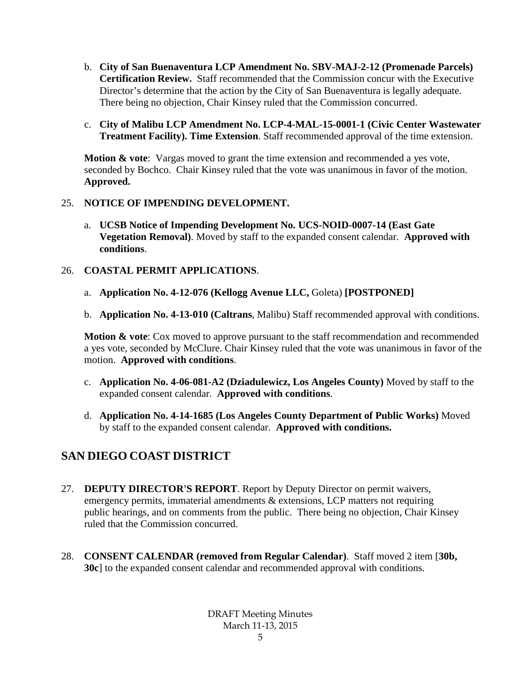- b. **City of San Buenaventura LCP Amendment No. SBV-MAJ-2-12 (Promenade Parcels) Certification Review.** Staff recommended that the Commission concur with the Executive Director's determine that the action by the City of San Buenaventura is legally adequate. There being no objection, Chair Kinsey ruled that the Commission concurred.
- c. **City of Malibu LCP Amendment No. LCP-4-MAL-15-0001-1 (Civic Center Wastewater Treatment Facility). Time Extension**. Staff recommended approval of the time extension.

**Motion & vote**: Vargas moved to grant the time extension and recommended a yes vote, seconded by Bochco. Chair Kinsey ruled that the vote was unanimous in favor of the motion. **Approved.**

#### 25. **NOTICE OF IMPENDING DEVELOPMENT.**

a. **UCSB Notice of Impending Development No. UCS-NOID-0007-14 (East Gate Vegetation Removal)**. Moved by staff to the expanded consent calendar. **Approved with conditions**.

## 26. **COASTAL PERMIT APPLICATIONS**.

- a. **Application No. 4-12-076 (Kellogg Avenue LLC,** Goleta) **[POSTPONED]**
- b. **Application No. 4-13-010 (Caltrans**, Malibu) Staff recommended approval with conditions.

**Motion & vote:** Cox moved to approve pursuant to the staff recommendation and recommended a yes vote, seconded by McClure. Chair Kinsey ruled that the vote was unanimous in favor of the motion. **Approved with conditions**.

- c. **Application No. 4-06-081-A2 (Dziadulewicz, Los Angeles County)** Moved by staff to the expanded consent calendar. **Approved with conditions**.
- d. **Application No. 4-14-1685 (Los Angeles County Department of Public Works)** Moved by staff to the expanded consent calendar. **Approved with conditions.**

## **SAN DIEGO COAST DISTRICT**

- 27. **DEPUTY DIRECTOR'S REPORT**. Report by Deputy Director on permit waivers, emergency permits, immaterial amendments & extensions, LCP matters not requiring public hearings, and on comments from the public. There being no objection, Chair Kinsey ruled that the Commission concurred.
- 28. **CONSENT CALENDAR (removed from Regular Calendar)**. Staff moved 2 item [**30b, 30c**] to the expanded consent calendar and recommended approval with conditions.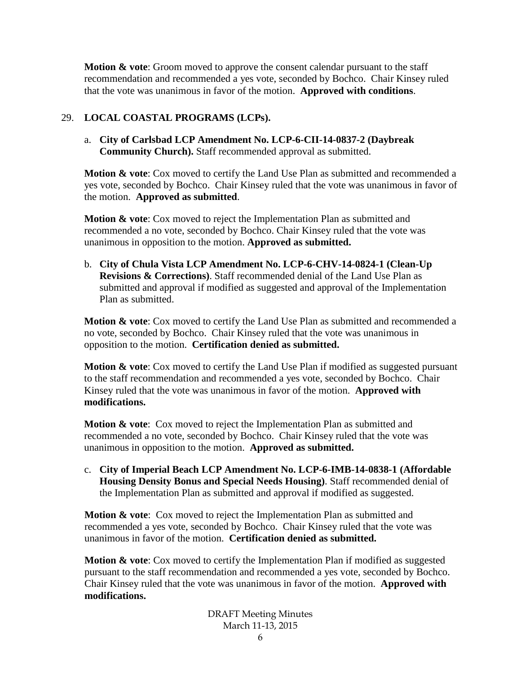**Motion & vote**: Groom moved to approve the consent calendar pursuant to the staff recommendation and recommended a yes vote, seconded by Bochco. Chair Kinsey ruled that the vote was unanimous in favor of the motion. **Approved with conditions**.

## 29. **LOCAL COASTAL PROGRAMS (LCPs).**

a. **City of Carlsbad LCP Amendment No. LCP-6-CII-14-0837-2 (Daybreak Community Church).** Staff recommended approval as submitted.

**Motion & vote:** Cox moved to certify the Land Use Plan as submitted and recommended a yes vote, seconded by Bochco. Chair Kinsey ruled that the vote was unanimous in favor of the motion. **Approved as submitted**.

**Motion & vote:** Cox moved to reject the Implementation Plan as submitted and recommended a no vote, seconded by Bochco. Chair Kinsey ruled that the vote was unanimous in opposition to the motion. **Approved as submitted.**

b. **City of Chula Vista LCP Amendment No. LCP-6-CHV-14-0824-1 (Clean-Up Revisions & Corrections)**. Staff recommended denial of the Land Use Plan as submitted and approval if modified as suggested and approval of the Implementation Plan as submitted.

**Motion & vote**: Cox moved to certify the Land Use Plan as submitted and recommended a no vote, seconded by Bochco. Chair Kinsey ruled that the vote was unanimous in opposition to the motion. **Certification denied as submitted.**

**Motion & vote:** Cox moved to certify the Land Use Plan if modified as suggested pursuant to the staff recommendation and recommended a yes vote, seconded by Bochco. Chair Kinsey ruled that the vote was unanimous in favor of the motion. **Approved with modifications.**

**Motion & vote**: Cox moved to reject the Implementation Plan as submitted and recommended a no vote, seconded by Bochco. Chair Kinsey ruled that the vote was unanimous in opposition to the motion. **Approved as submitted.**

c. **City of Imperial Beach LCP Amendment No. LCP-6-IMB-14-0838-1 (Affordable Housing Density Bonus and Special Needs Housing)**. Staff recommended denial of the Implementation Plan as submitted and approval if modified as suggested.

**Motion & vote**: Cox moved to reject the Implementation Plan as submitted and recommended a yes vote, seconded by Bochco. Chair Kinsey ruled that the vote was unanimous in favor of the motion. **Certification denied as submitted.**

**Motion & vote:** Cox moved to certify the Implementation Plan if modified as suggested pursuant to the staff recommendation and recommended a yes vote, seconded by Bochco. Chair Kinsey ruled that the vote was unanimous in favor of the motion. **Approved with modifications.**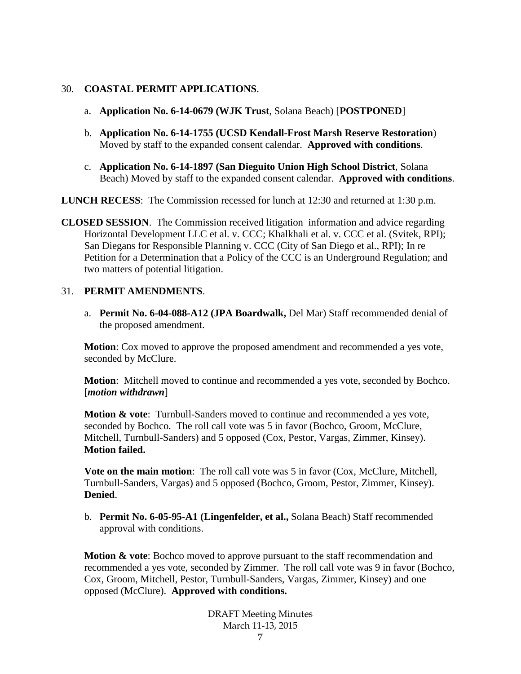#### 30. **COASTAL PERMIT APPLICATIONS**.

- a. **Application No. 6-14-0679 (WJK Trust**, Solana Beach) [**POSTPONED**]
- b. **Application No. 6-14-1755 (UCSD Kendall-Frost Marsh Reserve Restoration**) Moved by staff to the expanded consent calendar. **Approved with conditions**.
- c. **Application No. 6-14-1897 (San Dieguito Union High School District**, Solana Beach) Moved by staff to the expanded consent calendar. **Approved with conditions**.

**LUNCH RECESS**: The Commission recessed for lunch at 12:30 and returned at 1:30 p.m.

**CLOSED SESSION**. The Commission received litigation information and advice regarding Horizontal Development LLC et al. v. CCC; Khalkhali et al. v. CCC et al. (Svitek, RPI); San Diegans for Responsible Planning v. CCC (City of San Diego et al., RPI); In re Petition for a Determination that a Policy of the CCC is an Underground Regulation; and two matters of potential litigation.

#### 31. **PERMIT AMENDMENTS**.

a. **Permit No. 6-04-088-A12 (JPA Boardwalk,** Del Mar) Staff recommended denial of the proposed amendment.

**Motion**: Cox moved to approve the proposed amendment and recommended a yes vote, seconded by McClure.

**Motion**: Mitchell moved to continue and recommended a yes vote, seconded by Bochco. [*motion withdrawn*]

**Motion & vote**: Turnbull-Sanders moved to continue and recommended a yes vote, seconded by Bochco. The roll call vote was 5 in favor (Bochco, Groom, McClure, Mitchell, Turnbull-Sanders) and 5 opposed (Cox, Pestor, Vargas, Zimmer, Kinsey). **Motion failed.**

**Vote on the main motion:** The roll call vote was 5 in favor (Cox, McClure, Mitchell, Turnbull-Sanders, Vargas) and 5 opposed (Bochco, Groom, Pestor, Zimmer, Kinsey). **Denied**.

b. **Permit No. 6-05-95-A1 (Lingenfelder, et al.,** Solana Beach) Staff recommended approval with conditions.

**Motion & vote:** Bochco moved to approve pursuant to the staff recommendation and recommended a yes vote, seconded by Zimmer. The roll call vote was 9 in favor (Bochco, Cox, Groom, Mitchell, Pestor, Turnbull-Sanders, Vargas, Zimmer, Kinsey) and one opposed (McClure). **Approved with conditions.**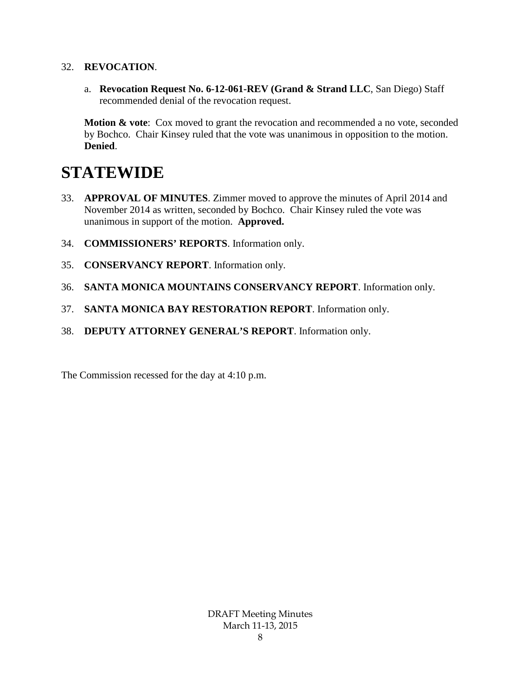#### 32. **REVOCATION**.

a. **Revocation Request No. 6-12-061-REV (Grand & Strand LLC**, San Diego) Staff recommended denial of the revocation request.

**Motion & vote:** Cox moved to grant the revocation and recommended a no vote, seconded by Bochco. Chair Kinsey ruled that the vote was unanimous in opposition to the motion. **Denied**.

# **STATEWIDE**

- 33. **APPROVAL OF MINUTES**. Zimmer moved to approve the minutes of April 2014 and November 2014 as written, seconded by Bochco. Chair Kinsey ruled the vote was unanimous in support of the motion. **Approved.**
- 34. **COMMISSIONERS' REPORTS**. Information only.
- 35. **CONSERVANCY REPORT**. Information only.
- 36. **SANTA MONICA MOUNTAINS CONSERVANCY REPORT**. Information only.
- 37. **SANTA MONICA BAY RESTORATION REPORT**. Information only.
- 38. **DEPUTY ATTORNEY GENERAL'S REPORT**. Information only.

The Commission recessed for the day at 4:10 p.m.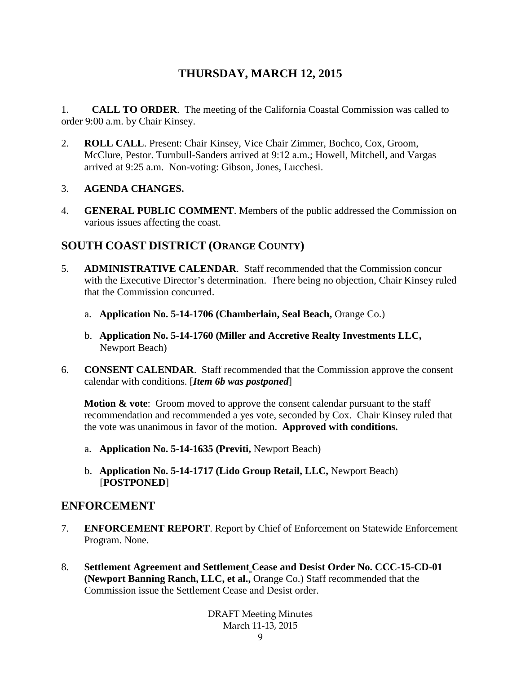## **THURSDAY, MARCH 12, 2015**

1. **CALL TO ORDER**. The meeting of the California Coastal Commission was called to order 9:00 a.m. by Chair Kinsey.

2. **ROLL CALL**. Present: Chair Kinsey, Vice Chair Zimmer, Bochco, Cox, Groom, McClure, Pestor. Turnbull-Sanders arrived at 9:12 a.m.; Howell, Mitchell, and Vargas arrived at 9:25 a.m. Non-voting: Gibson, Jones, Lucchesi.

#### 3. **AGENDA CHANGES.**

4. **GENERAL PUBLIC COMMENT**. Members of the public addressed the Commission on various issues affecting the coast.

## **SOUTH COAST DISTRICT (ORANGE COUNTY)**

- 5. **ADMINISTRATIVE CALENDAR**. Staff recommended that the Commission concur with the Executive Director's determination. There being no objection, Chair Kinsey ruled that the Commission concurred.
	- a. **Application No. 5-14-1706 (Chamberlain, Seal Beach,** Orange Co.)
	- b. **Application No. 5-14-1760 (Miller and Accretive Realty Investments LLC,**  Newport Beach)
- 6. **CONSENT CALENDAR**. Staff recommended that the Commission approve the consent calendar with conditions. [*Item 6b was postponed*]

**Motion & vote:** Groom moved to approve the consent calendar pursuant to the staff recommendation and recommended a yes vote, seconded by Cox. Chair Kinsey ruled that the vote was unanimous in favor of the motion. **Approved with conditions.**

- a. **Application No. 5-14-1635 (Previti,** Newport Beach)
- b. **Application No. 5-14-1717 (Lido Group Retail, LLC,** Newport Beach) [**POSTPONED**]

## **ENFORCEMENT**

- 7. **ENFORCEMENT REPORT**. Report by Chief of Enforcement on Statewide Enforcement Program. None.
- 8. **Settlement Agreement and Settlement Cease and Desist Order No. CCC-15-CD-01 (Newport Banning Ranch, LLC, et al.,** Orange Co.) Staff recommended that the Commission issue the Settlement Cease and Desist order.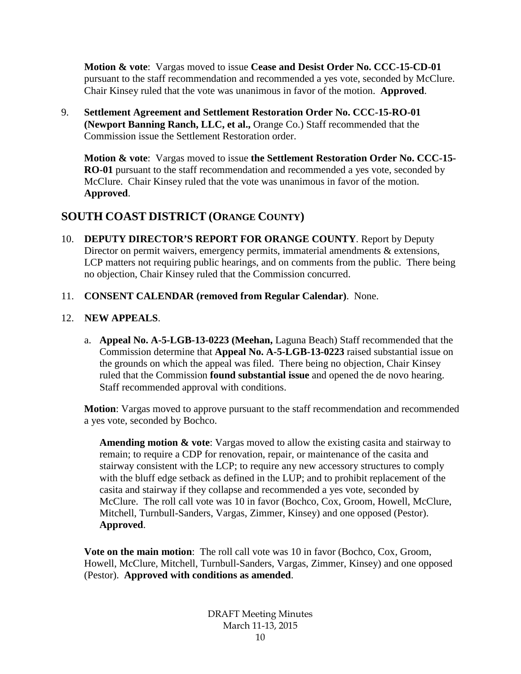**Motion & vote**: Vargas moved to issue **Cease and Desist Order No. CCC-15-CD-01** pursuant to the staff recommendation and recommended a yes vote, seconded by McClure. Chair Kinsey ruled that the vote was unanimous in favor of the motion. **Approved**.

9. **Settlement Agreement and Settlement Restoration Order No. CCC-15-RO-01 (Newport Banning Ranch, LLC, et al.,** Orange Co.) Staff recommended that the Commission issue the Settlement Restoration order.

**Motion & vote**: Vargas moved to issue **the Settlement Restoration Order No. CCC-15- RO-01** pursuant to the staff recommendation and recommended a yes vote, seconded by McClure. Chair Kinsey ruled that the vote was unanimous in favor of the motion. **Approved**.

## **SOUTH COAST DISTRICT (ORANGE COUNTY)**

- 10. **DEPUTY DIRECTOR'S REPORT FOR ORANGE COUNTY**. Report by Deputy Director on permit waivers, emergency permits, immaterial amendments & extensions, LCP matters not requiring public hearings, and on comments from the public. There being no objection, Chair Kinsey ruled that the Commission concurred.
- 11. **CONSENT CALENDAR (removed from Regular Calendar)**. None.

#### 12. **NEW APPEALS**.

a. **Appeal No. A-5-LGB-13-0223 (Meehan,** Laguna Beach) Staff recommended that the Commission determine that **Appeal No. A-5-LGB-13-0223** raised substantial issue on the grounds on which the appeal was filed. There being no objection, Chair Kinsey ruled that the Commission **found substantial issue** and opened the de novo hearing. Staff recommended approval with conditions.

**Motion**: Vargas moved to approve pursuant to the staff recommendation and recommended a yes vote, seconded by Bochco.

**Amending motion & vote**: Vargas moved to allow the existing casita and stairway to remain; to require a CDP for renovation, repair, or maintenance of the casita and stairway consistent with the LCP; to require any new accessory structures to comply with the bluff edge setback as defined in the LUP; and to prohibit replacement of the casita and stairway if they collapse and recommended a yes vote, seconded by McClure. The roll call vote was 10 in favor (Bochco, Cox, Groom, Howell, McClure, Mitchell, Turnbull-Sanders, Vargas, Zimmer, Kinsey) and one opposed (Pestor). **Approved**.

**Vote on the main motion**: The roll call vote was 10 in favor (Bochco, Cox, Groom, Howell, McClure, Mitchell, Turnbull-Sanders, Vargas, Zimmer, Kinsey) and one opposed (Pestor). **Approved with conditions as amended**.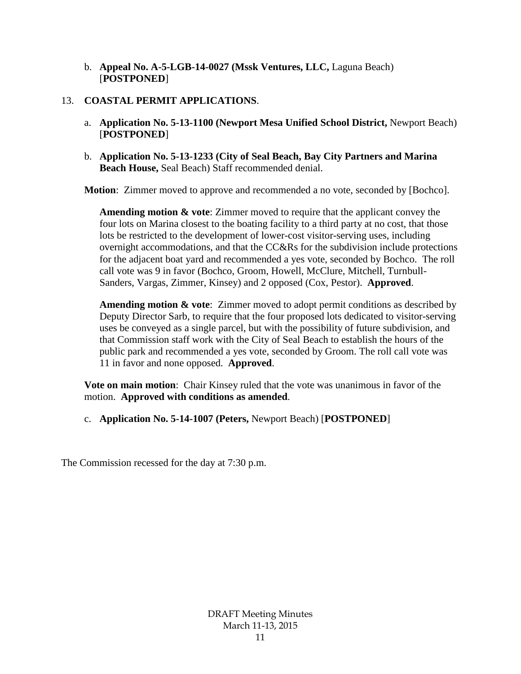b. **Appeal No. A-5-LGB-14-0027 (Mssk Ventures, LLC,** Laguna Beach) [**POSTPONED**]

#### 13. **COASTAL PERMIT APPLICATIONS**.

- a. **Application No. 5-13-1100 (Newport Mesa Unified School District,** Newport Beach) [**POSTPONED**]
- b. **Application No. 5-13-1233 (City of Seal Beach, Bay City Partners and Marina Beach House,** Seal Beach) Staff recommended denial.

**Motion**: Zimmer moved to approve and recommended a no vote, seconded by [Bochco].

**Amending motion & vote**: Zimmer moved to require that the applicant convey the four lots on Marina closest to the boating facility to a third party at no cost, that those lots be restricted to the development of lower-cost visitor-serving uses, including overnight accommodations, and that the CC&Rs for the subdivision include protections for the adjacent boat yard and recommended a yes vote, seconded by Bochco. The roll call vote was 9 in favor (Bochco, Groom, Howell, McClure, Mitchell, Turnbull-Sanders, Vargas, Zimmer, Kinsey) and 2 opposed (Cox, Pestor). **Approved**.

**Amending motion & vote**: Zimmer moved to adopt permit conditions as described by Deputy Director Sarb, to require that the four proposed lots dedicated to visitor-serving uses be conveyed as a single parcel, but with the possibility of future subdivision, and that Commission staff work with the City of Seal Beach to establish the hours of the public park and recommended a yes vote, seconded by Groom. The roll call vote was 11 in favor and none opposed. **Approved**.

**Vote on main motion**: Chair Kinsey ruled that the vote was unanimous in favor of the motion. **Approved with conditions as amended**.

c. **Application No. 5-14-1007 (Peters,** Newport Beach) [**POSTPONED**]

The Commission recessed for the day at 7:30 p.m.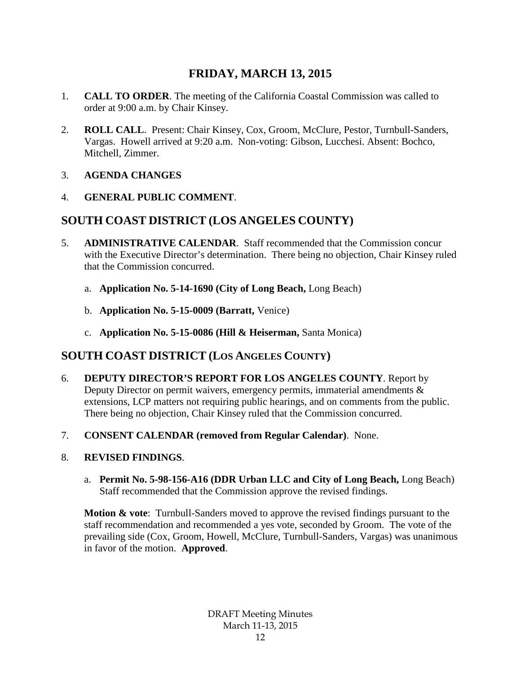## **FRIDAY, MARCH 13, 2015**

- 1. **CALL TO ORDER**. The meeting of the California Coastal Commission was called to order at 9:00 a.m. by Chair Kinsey.
- 2. **ROLL CALL**. Present: Chair Kinsey, Cox, Groom, McClure, Pestor, Turnbull-Sanders, Vargas. Howell arrived at 9:20 a.m. Non-voting: Gibson, Lucchesi. Absent: Bochco, Mitchell, Zimmer.
- 3. **AGENDA CHANGES**
- 4. **GENERAL PUBLIC COMMENT**.

## **SOUTH COAST DISTRICT (LOS ANGELES COUNTY)**

- 5. **ADMINISTRATIVE CALENDAR**. Staff recommended that the Commission concur with the Executive Director's determination. There being no objection, Chair Kinsey ruled that the Commission concurred.
	- a. **Application No. 5-14-1690 (City of Long Beach,** Long Beach)
	- b. **Application No. 5-15-0009 (Barratt,** Venice)
	- c. **Application No. 5-15-0086 (Hill & Heiserman,** Santa Monica)

## **SOUTH COAST DISTRICT (LOS ANGELES COUNTY)**

- 6. **DEPUTY DIRECTOR'S REPORT FOR LOS ANGELES COUNTY**. Report by Deputy Director on permit waivers, emergency permits, immaterial amendments & extensions, LCP matters not requiring public hearings, and on comments from the public. There being no objection, Chair Kinsey ruled that the Commission concurred.
- 7. **CONSENT CALENDAR (removed from Regular Calendar)**. None.

## 8. **REVISED FINDINGS**.

a. **Permit No. 5-98-156-A16 (DDR Urban LLC and City of Long Beach,** Long Beach) Staff recommended that the Commission approve the revised findings.

**Motion & vote**: Turnbull-Sanders moved to approve the revised findings pursuant to the staff recommendation and recommended a yes vote, seconded by Groom. The vote of the prevailing side (Cox, Groom, Howell, McClure, Turnbull-Sanders, Vargas) was unanimous in favor of the motion. **Approved**.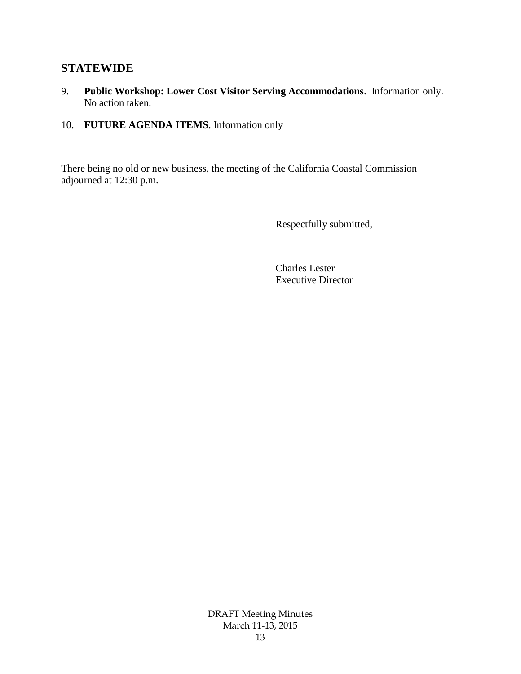## **STATEWIDE**

- 9. **Public Workshop: Lower Cost Visitor Serving Accommodations**. Information only. No action taken.
- 10. **FUTURE AGENDA ITEMS**. Information only

There being no old or new business, the meeting of the California Coastal Commission adjourned at 12:30 p.m.

Respectfully submitted,

Charles Lester Executive Director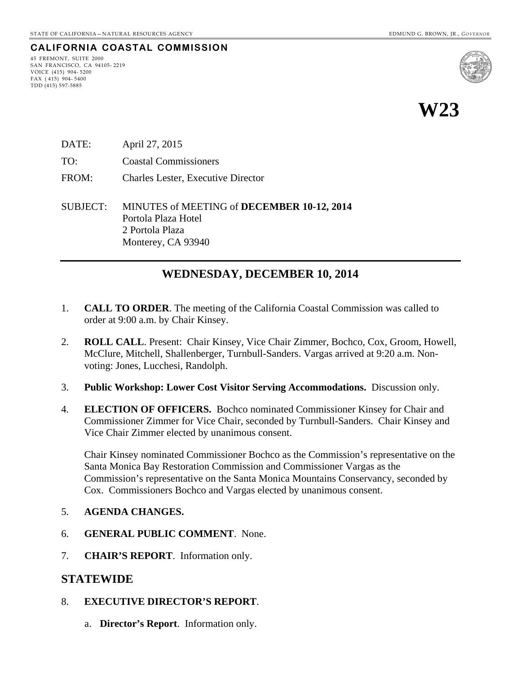### **CALIFORNIA COASTAL COMMISSION**

45 FREMONT, SUITE 2000 SAN FRANCISCO, CA 94105- 2219 VOICE (415) 904- 5200 FAX ( 415) 904- 5400 TDD (415) 597-5885



**W23**

- DATE: April 27, 2015
- TO: Coastal Commissioners
- FROM: Charles Lester, Executive Director
- SUBJECT: MINUTES of MEETING of **DECEMBER 10-12, 2014** Portola Plaza Hotel 2 Portola Plaza Monterey, CA 93940

## **WEDNESDAY, DECEMBER 10, 2014**

- 1. **CALL TO ORDER**. The meeting of the California Coastal Commission was called to order at 9:00 a.m. by Chair Kinsey.
- 2. **ROLL CALL**. Present: Chair Kinsey, Vice Chair Zimmer, Bochco, Cox, Groom, Howell, McClure, Mitchell, Shallenberger, Turnbull-Sanders. Vargas arrived at 9:20 a.m. Nonvoting: Jones, Lucchesi, Randolph.
- 3. **Public Workshop: Lower Cost Visitor Serving Accommodations.** Discussion only.
- 4. **ELECTION OF OFFICERS.** Bochco nominated Commissioner Kinsey for Chair and Commissioner Zimmer for Vice Chair, seconded by Turnbull-Sanders. Chair Kinsey and Vice Chair Zimmer elected by unanimous consent.

Chair Kinsey nominated Commissioner Bochco as the Commission's representative on the Santa Monica Bay Restoration Commission and Commissioner Vargas as the Commission's representative on the Santa Monica Mountains Conservancy, seconded by Cox. Commissioners Bochco and Vargas elected by unanimous consent.

- 5. **AGENDA CHANGES.**
- 6. **GENERAL PUBLIC COMMENT**. None.
- 7. **CHAIR'S REPORT**. Information only.

#### **STATEWIDE**

- 8. **EXECUTIVE DIRECTOR'S REPORT**.
	- a. **Director's Report**. Information only.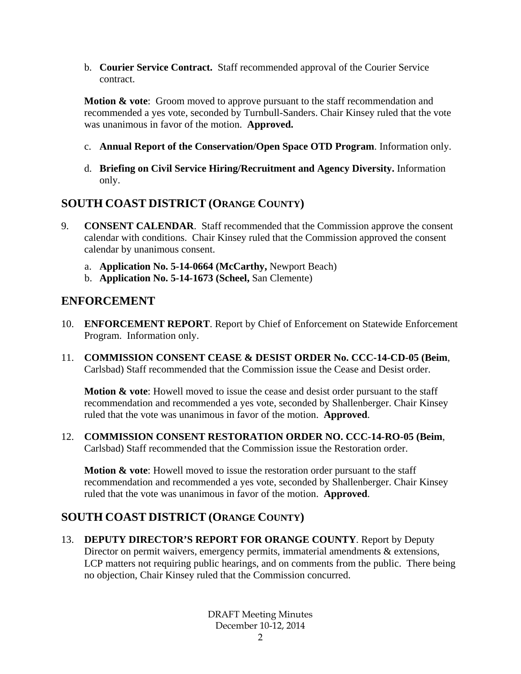b. **Courier Service Contract.** Staff recommended approval of the Courier Service contract.

**Motion & vote**: Groom moved to approve pursuant to the staff recommendation and recommended a yes vote, seconded by Turnbull-Sanders. Chair Kinsey ruled that the vote was unanimous in favor of the motion. **Approved.**

- c. **Annual Report of the Conservation/Open Space OTD Program**. Information only.
- d. **Briefing on Civil Service Hiring/Recruitment and Agency Diversity.** Information only.

## **SOUTH COAST DISTRICT (ORANGE COUNTY)**

- 9. **CONSENT CALENDAR**. Staff recommended that the Commission approve the consent calendar with conditions. Chair Kinsey ruled that the Commission approved the consent calendar by unanimous consent.
	- a. **Application No. 5-14-0664 (McCarthy,** Newport Beach)
	- b. **Application No. 5-14-1673 (Scheel,** San Clemente)

## **ENFORCEMENT**

- 10. **ENFORCEMENT REPORT**. Report by Chief of Enforcement on Statewide Enforcement Program. Information only.
- 11. **COMMISSION CONSENT CEASE & DESIST ORDER No. CCC-14-CD-05 (Beim**, Carlsbad) Staff recommended that the Commission issue the Cease and Desist order.

**Motion & vote:** Howell moved to issue the cease and desist order pursuant to the staff recommendation and recommended a yes vote, seconded by Shallenberger. Chair Kinsey ruled that the vote was unanimous in favor of the motion. **Approved**.

12. **COMMISSION CONSENT RESTORATION ORDER NO. CCC-14-RO-05 (Beim**, Carlsbad) Staff recommended that the Commission issue the Restoration order.

**Motion & vote:** Howell moved to issue the restoration order pursuant to the staff recommendation and recommended a yes vote, seconded by Shallenberger. Chair Kinsey ruled that the vote was unanimous in favor of the motion. **Approved**.

## **SOUTH COAST DISTRICT (ORANGE COUNTY)**

13. **DEPUTY DIRECTOR'S REPORT FOR ORANGE COUNTY**. Report by Deputy Director on permit waivers, emergency permits, immaterial amendments & extensions, LCP matters not requiring public hearings, and on comments from the public. There being no objection, Chair Kinsey ruled that the Commission concurred.

> DRAFT Meeting Minutes December 10-12, 2014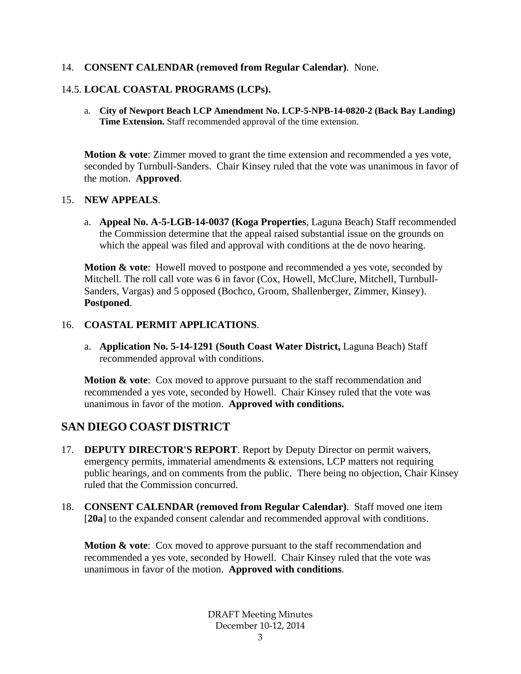#### 14. **CONSENT CALENDAR (removed from Regular Calendar)**. None.

#### 14.5. **LOCAL COASTAL PROGRAMS (LCPs).**

a. **City of Newport Beach LCP Amendment No. LCP-5-NPB-14-0820-2 (Back Bay Landing) Time Extension.** Staff recommended approval of the time extension.

**Motion & vote**: Zimmer moved to grant the time extension and recommended a yes vote, seconded by Turnbull-Sanders. Chair Kinsey ruled that the vote was unanimous in favor of the motion. **Approved**.

#### 15. **NEW APPEALS**.

a. **Appeal No. A-5-LGB-14-0037 (Koga Properties**, Laguna Beach) Staff recommended the Commission determine that the appeal raised substantial issue on the grounds on which the appeal was filed and approval with conditions at the de novo hearing.

**Motion & vote**: Howell moved to postpone and recommended a yes vote, seconded by Mitchell. The roll call vote was 6 in favor (Cox, Howell, McClure, Mitchell, Turnbull-Sanders, Vargas) and 5 opposed (Bochco, Groom, Shallenberger, Zimmer, Kinsey). **Postponed**.

#### 16. **COASTAL PERMIT APPLICATIONS**.

a. **Application No. 5-14-1291 (South Coast Water District,** Laguna Beach) Staff recommended approval with conditions.

**Motion & vote:** Cox moved to approve pursuant to the staff recommendation and recommended a yes vote, seconded by Howell. Chair Kinsey ruled that the vote was unanimous in favor of the motion. **Approved with conditions.**

## **SAN DIEGO COAST DISTRICT**

- 17. **DEPUTY DIRECTOR'S REPORT**. Report by Deputy Director on permit waivers, emergency permits, immaterial amendments & extensions, LCP matters not requiring public hearings, and on comments from the public. There being no objection, Chair Kinsey ruled that the Commission concurred.
- 18. **CONSENT CALENDAR (removed from Regular Calendar)**. Staff moved one item [**20a**] to the expanded consent calendar and recommended approval with conditions.

**Motion & vote:** Cox moved to approve pursuant to the staff recommendation and recommended a yes vote, seconded by Howell. Chair Kinsey ruled that the vote was unanimous in favor of the motion. **Approved with conditions**.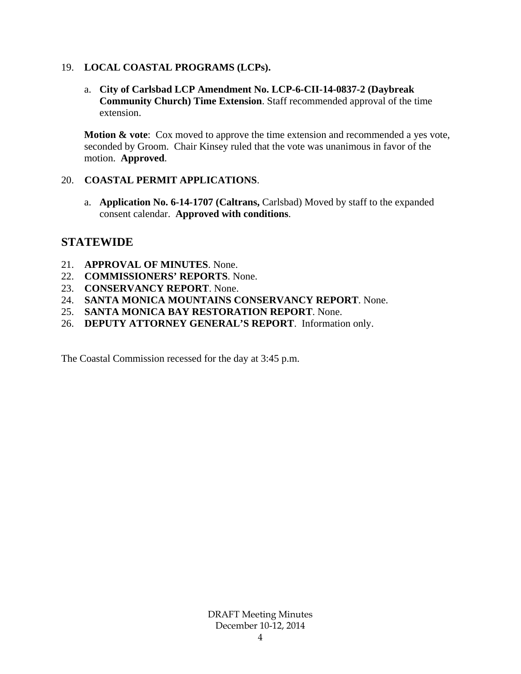#### 19. **LOCAL COASTAL PROGRAMS (LCPs).**

a. **City of Carlsbad LCP Amendment No. LCP-6-CII-14-0837-2 (Daybreak Community Church) Time Extension**. Staff recommended approval of the time extension.

**Motion & vote**: Cox moved to approve the time extension and recommended a yes vote, seconded by Groom. Chair Kinsey ruled that the vote was unanimous in favor of the motion. **Approved**.

#### 20. **COASTAL PERMIT APPLICATIONS**.

a. **Application No. 6-14-1707 (Caltrans,** Carlsbad) Moved by staff to the expanded consent calendar. **Approved with conditions**.

#### **STATEWIDE**

- 21. **APPROVAL OF MINUTES**. None.
- 22. **COMMISSIONERS' REPORTS**. None.
- 23. **CONSERVANCY REPORT**. None.
- 24. **SANTA MONICA MOUNTAINS CONSERVANCY REPORT**. None.
- 25. **SANTA MONICA BAY RESTORATION REPORT**. None.
- 26. **DEPUTY ATTORNEY GENERAL'S REPORT**. Information only.

The Coastal Commission recessed for the day at 3:45 p.m.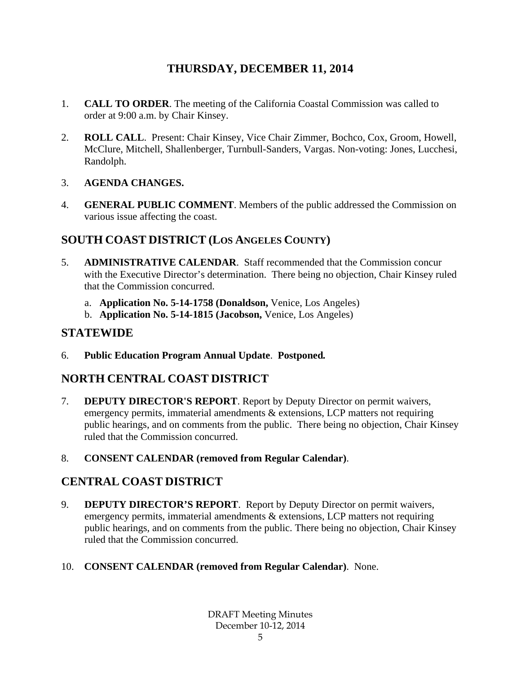## **THURSDAY, DECEMBER 11, 2014**

- 1. **CALL TO ORDER**. The meeting of the California Coastal Commission was called to order at 9:00 a.m. by Chair Kinsey.
- 2. **ROLL CALL**. Present: Chair Kinsey, Vice Chair Zimmer, Bochco, Cox, Groom, Howell, McClure, Mitchell, Shallenberger, Turnbull-Sanders, Vargas. Non-voting: Jones, Lucchesi, Randolph.
- 3. **AGENDA CHANGES.**
- 4. **GENERAL PUBLIC COMMENT**. Members of the public addressed the Commission on various issue affecting the coast.

## **SOUTH COAST DISTRICT (LOS ANGELES COUNTY)**

- 5. **ADMINISTRATIVE CALENDAR**. Staff recommended that the Commission concur with the Executive Director's determination. There being no objection, Chair Kinsey ruled that the Commission concurred.
	- a. **Application No. 5-14-1758 (Donaldson,** Venice, Los Angeles)
	- b. **Application No. 5-14-1815 (Jacobson,** Venice, Los Angeles)

## **STATEWIDE**

6. **Public Education Program Annual Update**. **Postponed***.*

## **NORTH CENTRAL COAST DISTRICT**

- 7. **DEPUTY DIRECTOR'S REPORT**. Report by Deputy Director on permit waivers, emergency permits, immaterial amendments & extensions, LCP matters not requiring public hearings, and on comments from the public. There being no objection, Chair Kinsey ruled that the Commission concurred.
- 8. **CONSENT CALENDAR (removed from Regular Calendar)**.

## **CENTRAL COAST DISTRICT**

- 9. **DEPUTY DIRECTOR'S REPORT**. Report by Deputy Director on permit waivers, emergency permits, immaterial amendments & extensions, LCP matters not requiring public hearings, and on comments from the public. There being no objection, Chair Kinsey ruled that the Commission concurred.
- 10. **CONSENT CALENDAR (removed from Regular Calendar)**. None.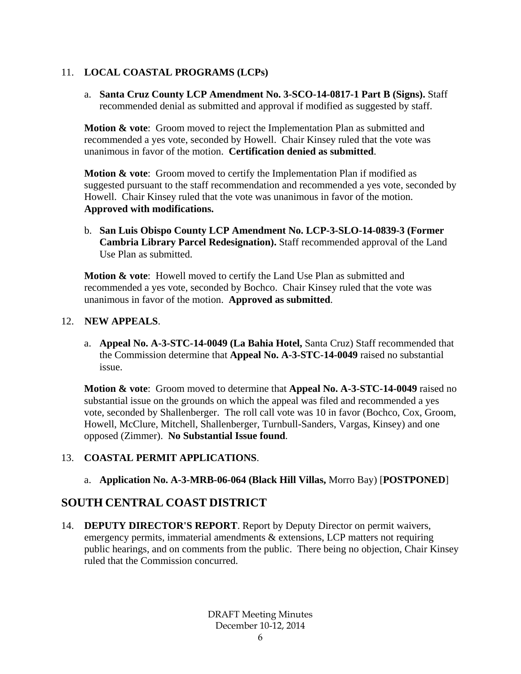### 11. **LOCAL COASTAL PROGRAMS (LCPs)**

a. **Santa Cruz County LCP Amendment No. 3-SCO-14-0817-1 Part B (Signs).** Staff recommended denial as submitted and approval if modified as suggested by staff.

**Motion & vote**: Groom moved to reject the Implementation Plan as submitted and recommended a yes vote, seconded by Howell. Chair Kinsey ruled that the vote was unanimous in favor of the motion. **Certification denied as submitted**.

**Motion & vote**: Groom moved to certify the Implementation Plan if modified as suggested pursuant to the staff recommendation and recommended a yes vote, seconded by Howell. Chair Kinsey ruled that the vote was unanimous in favor of the motion. **Approved with modifications.**

b. **San Luis Obispo County LCP Amendment No. LCP-3-SLO-14-0839-3 (Former Cambria Library Parcel Redesignation).** Staff recommended approval of the Land Use Plan as submitted.

**Motion & vote**: Howell moved to certify the Land Use Plan as submitted and recommended a yes vote, seconded by Bochco. Chair Kinsey ruled that the vote was unanimous in favor of the motion. **Approved as submitted**.

#### 12. **NEW APPEALS**.

a. **Appeal No. A-3-STC-14-0049 (La Bahia Hotel,** Santa Cruz) Staff recommended that the Commission determine that **Appeal No. A-3-STC-14-0049** raised no substantial issue.

**Motion & vote**: Groom moved to determine that **Appeal No. A-3-STC-14-0049** raised no substantial issue on the grounds on which the appeal was filed and recommended a yes vote, seconded by Shallenberger. The roll call vote was 10 in favor (Bochco, Cox, Groom, Howell, McClure, Mitchell, Shallenberger, Turnbull-Sanders, Vargas, Kinsey) and one opposed (Zimmer). **No Substantial Issue found**.

## 13. **COASTAL PERMIT APPLICATIONS**.

a. **Application No. A-3-MRB-06-064 (Black Hill Villas,** Morro Bay) [**POSTPONED**]

## **SOUTH CENTRAL COAST DISTRICT**

14. **DEPUTY DIRECTOR'S REPORT**. Report by Deputy Director on permit waivers, emergency permits, immaterial amendments & extensions, LCP matters not requiring public hearings, and on comments from the public. There being no objection, Chair Kinsey ruled that the Commission concurred.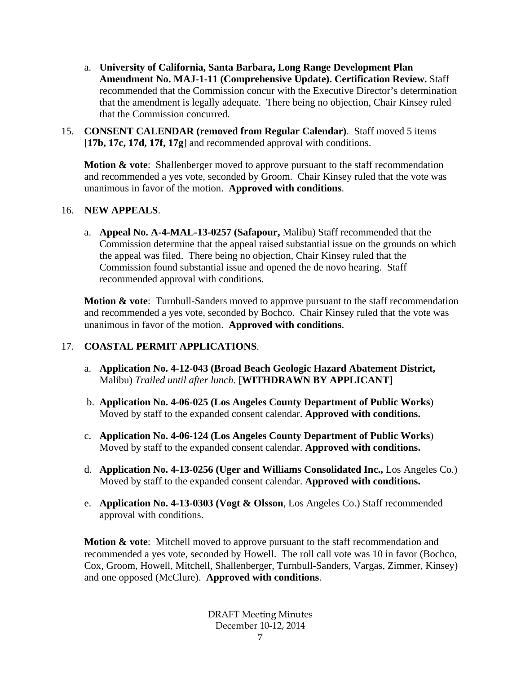- a. **University of California, Santa Barbara, Long Range Development Plan Amendment No. MAJ-1-11 (Comprehensive Update). Certification Review.** Staff recommended that the Commission concur with the Executive Director's determination that the amendment is legally adequate. There being no objection, Chair Kinsey ruled that the Commission concurred.
- 15. **CONSENT CALENDAR (removed from Regular Calendar)**. Staff moved 5 items [**17b, 17c, 17d, 17f, 17g**] and recommended approval with conditions.

**Motion & vote:** Shallenberger moved to approve pursuant to the staff recommendation and recommended a yes vote, seconded by Groom. Chair Kinsey ruled that the vote was unanimous in favor of the motion. **Approved with conditions**.

#### 16. **NEW APPEALS**.

a. **Appeal No. A-4-MAL-13-0257 (Safapour,** Malibu) Staff recommended that the Commission determine that the appeal raised substantial issue on the grounds on which the appeal was filed. There being no objection, Chair Kinsey ruled that the Commission found substantial issue and opened the de novo hearing. Staff recommended approval with conditions.

**Motion & vote:** Turnbull-Sanders moved to approve pursuant to the staff recommendation and recommended a yes vote, seconded by Bochco. Chair Kinsey ruled that the vote was unanimous in favor of the motion. **Approved with conditions**.

#### 17. **COASTAL PERMIT APPLICATIONS**.

- a. **Application No. 4-12-043 (Broad Beach Geologic Hazard Abatement District,**  Malibu) *Trailed until after lunch*. [**WITHDRAWN BY APPLICANT**]
- b. **Application No. 4-06-025 (Los Angeles County Department of Public Works**) Moved by staff to the expanded consent calendar. **Approved with conditions.**
- c. **Application No. 4-06-124 (Los Angeles County Department of Public Works**) Moved by staff to the expanded consent calendar. **Approved with conditions.**
- d. **Application No. 4-13-0256 (Uger and Williams Consolidated Inc.,** Los Angeles Co.) Moved by staff to the expanded consent calendar. **Approved with conditions.**
- e. **Application No. 4-13-0303 (Vogt & Olsson**, Los Angeles Co.) Staff recommended approval with conditions.

**Motion & vote**: Mitchell moved to approve pursuant to the staff recommendation and recommended a yes vote, seconded by Howell. The roll call vote was 10 in favor (Bochco, Cox, Groom, Howell, Mitchell, Shallenberger, Turnbull-Sanders, Vargas, Zimmer, Kinsey) and one opposed (McClure). **Approved with conditions**.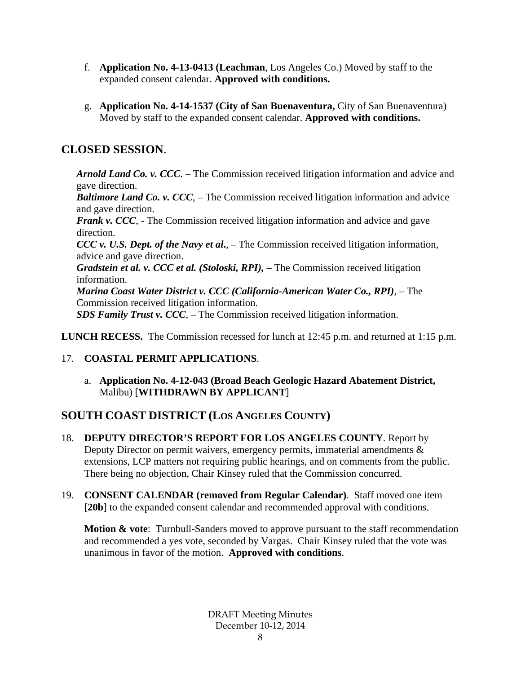- f. **Application No. 4-13-0413 (Leachman**, Los Angeles Co.) Moved by staff to the expanded consent calendar. **Approved with conditions.**
- g. **Application No. 4-14-1537 (City of San Buenaventura,** City of San Buenaventura) Moved by staff to the expanded consent calendar. **Approved with conditions.**

## **CLOSED SESSION**.

*Arnold Land Co. v. CCC*. – The Commission received litigation information and advice and gave direction.

*Baltimore Land Co. v. CCC*, – The Commission received litigation information and advice and gave direction.

*Frank v. CCC*, - The Commission received litigation information and advice and gave direction.

*CCC v. U.S. Dept. of the Navy et al***.**, – The Commission received litigation information, advice and gave direction.

*Gradstein et al. v. CCC et al. (Stoloski, RPI),* – The Commission received litigation information.

*Marina Coast Water District v. CCC (California-American Water Co., RPI),* – The Commission received litigation information.

*SDS Family Trust v. CCC,* – The Commission received litigation information.

**LUNCH RECESS.** The Commission recessed for lunch at 12:45 p.m. and returned at 1:15 p.m.

## 17. **COASTAL PERMIT APPLICATIONS**.

a. **Application No. 4-12-043 (Broad Beach Geologic Hazard Abatement District,**  Malibu) [**WITHDRAWN BY APPLICANT**]

## **SOUTH COAST DISTRICT (LOS ANGELES COUNTY)**

- 18. **DEPUTY DIRECTOR'S REPORT FOR LOS ANGELES COUNTY**. Report by Deputy Director on permit waivers, emergency permits, immaterial amendments  $\&$ extensions, LCP matters not requiring public hearings, and on comments from the public. There being no objection, Chair Kinsey ruled that the Commission concurred.
- 19. **CONSENT CALENDAR (removed from Regular Calendar)**. Staff moved one item [20b] to the expanded consent calendar and recommended approval with conditions.

**Motion & vote:** Turnbull-Sanders moved to approve pursuant to the staff recommendation and recommended a yes vote, seconded by Vargas. Chair Kinsey ruled that the vote was unanimous in favor of the motion. **Approved with conditions**.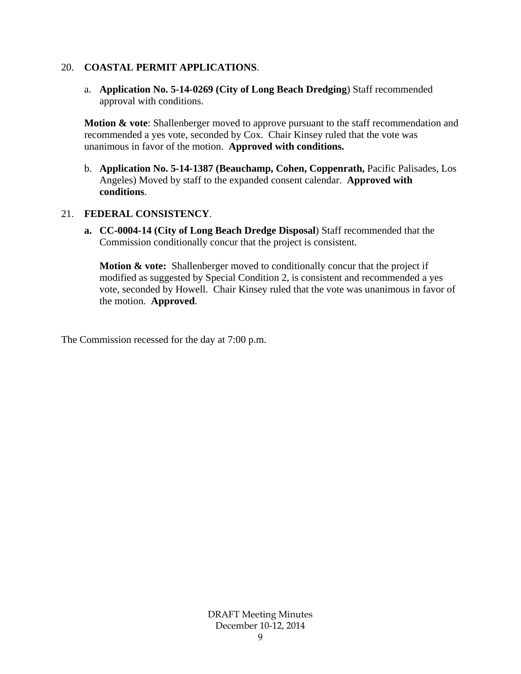#### 20. **COASTAL PERMIT APPLICATIONS**.

a. **Application No. 5-14-0269 (City of Long Beach Dredging**) Staff recommended approval with conditions.

**Motion & vote**: Shallenberger moved to approve pursuant to the staff recommendation and recommended a yes vote, seconded by Cox. Chair Kinsey ruled that the vote was unanimous in favor of the motion. **Approved with conditions.**

b. **Application No. 5-14-1387 (Beauchamp, Cohen, Coppenrath,** Pacific Palisades, Los Angeles) Moved by staff to the expanded consent calendar. **Approved with conditions**.

#### 21. **FEDERAL CONSISTENCY**.

**a. CC-0004-14 (City of Long Beach Dredge Disposal**) Staff recommended that the Commission conditionally concur that the project is consistent.

**Motion & vote:** Shallenberger moved to conditionally concur that the project if modified as suggested by Special Condition 2, is consistent and recommended a yes vote, seconded by Howell. Chair Kinsey ruled that the vote was unanimous in favor of the motion. **Approved**.

The Commission recessed for the day at 7:00 p.m.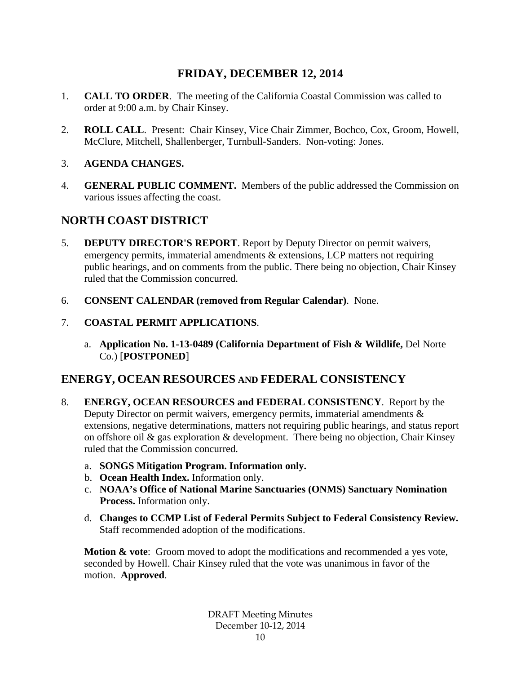## **FRIDAY, DECEMBER 12, 2014**

- 1. **CALL TO ORDER**. The meeting of the California Coastal Commission was called to order at 9:00 a.m. by Chair Kinsey.
- 2. **ROLL CALL**. Present: Chair Kinsey, Vice Chair Zimmer, Bochco, Cox, Groom, Howell, McClure, Mitchell, Shallenberger, Turnbull-Sanders. Non-voting: Jones.
- 3. **AGENDA CHANGES.**
- 4. **GENERAL PUBLIC COMMENT.** Members of the public addressed the Commission on various issues affecting the coast.

## **NORTH COAST DISTRICT**

- 5. **DEPUTY DIRECTOR'S REPORT**. Report by Deputy Director on permit waivers, emergency permits, immaterial amendments & extensions, LCP matters not requiring public hearings, and on comments from the public. There being no objection, Chair Kinsey ruled that the Commission concurred.
- 6. **CONSENT CALENDAR (removed from Regular Calendar)**. None.
- 7. **COASTAL PERMIT APPLICATIONS**.
	- a. **Application No. 1-13-0489 (California Department of Fish & Wildlife,** Del Norte Co.) [**POSTPONED**]

## **ENERGY, OCEAN RESOURCES AND FEDERAL CONSISTENCY**

- 8. **ENERGY, OCEAN RESOURCES and FEDERAL CONSISTENCY**. Report by the Deputy Director on permit waivers, emergency permits, immaterial amendments & extensions, negative determinations, matters not requiring public hearings, and status report on offshore oil & gas exploration & development. There being no objection, Chair Kinsey ruled that the Commission concurred.
	- a. **SONGS Mitigation Program. Information only.**
	- b. **Ocean Health Index.** Information only.
	- c. **NOAA's Office of National Marine Sanctuaries (ONMS) Sanctuary Nomination Process.** Information only.
	- d. **Changes to CCMP List of Federal Permits Subject to Federal Consistency Review.** Staff recommended adoption of the modifications.

**Motion & vote**: Groom moved to adopt the modifications and recommended a yes vote, seconded by Howell. Chair Kinsey ruled that the vote was unanimous in favor of the motion. **Approved**.

> DRAFT Meeting Minutes December 10-12, 2014 10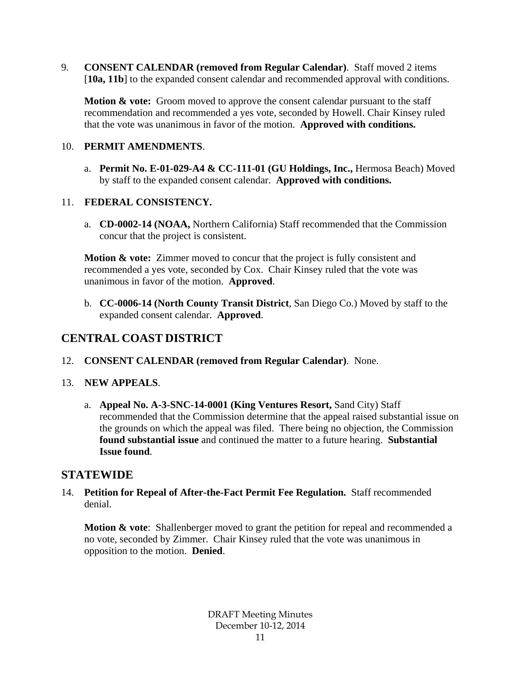9. **CONSENT CALENDAR (removed from Regular Calendar)**. Staff moved 2 items [10a, 11b] to the expanded consent calendar and recommended approval with conditions.

**Motion & vote:** Groom moved to approve the consent calendar pursuant to the staff recommendation and recommended a yes vote, seconded by Howell. Chair Kinsey ruled that the vote was unanimous in favor of the motion. **Approved with conditions.**

#### 10. **PERMIT AMENDMENTS**.

a. **Permit No. E-01-029-A4 & CC-111-01 (GU Holdings, Inc.,** Hermosa Beach) Moved by staff to the expanded consent calendar. **Approved with conditions.**

#### 11. **FEDERAL CONSISTENCY.**

a. **CD-0002-14 (NOAA,** Northern California) Staff recommended that the Commission concur that the project is consistent.

**Motion & vote:** Zimmer moved to concur that the project is fully consistent and recommended a yes vote, seconded by Cox. Chair Kinsey ruled that the vote was unanimous in favor of the motion. **Approved**.

b. **CC-0006-14 (North County Transit District**, San Diego Co.) Moved by staff to the expanded consent calendar. **Approved**.

## **CENTRAL COAST DISTRICT**

12. **CONSENT CALENDAR (removed from Regular Calendar)**. None.

#### 13. **NEW APPEALS**.

a. **Appeal No. A-3-SNC-14-0001 (King Ventures Resort,** Sand City) Staff recommended that the Commission determine that the appeal raised substantial issue on the grounds on which the appeal was filed. There being no objection, the Commission **found substantial issue** and continued the matter to a future hearing. **Substantial Issue found**.

#### **STATEWIDE**

14. **Petition for Repeal of After-the-Fact Permit Fee Regulation.** Staff recommended denial.

**Motion & vote:** Shallenberger moved to grant the petition for repeal and recommended a no vote, seconded by Zimmer. Chair Kinsey ruled that the vote was unanimous in opposition to the motion. **Denied**.